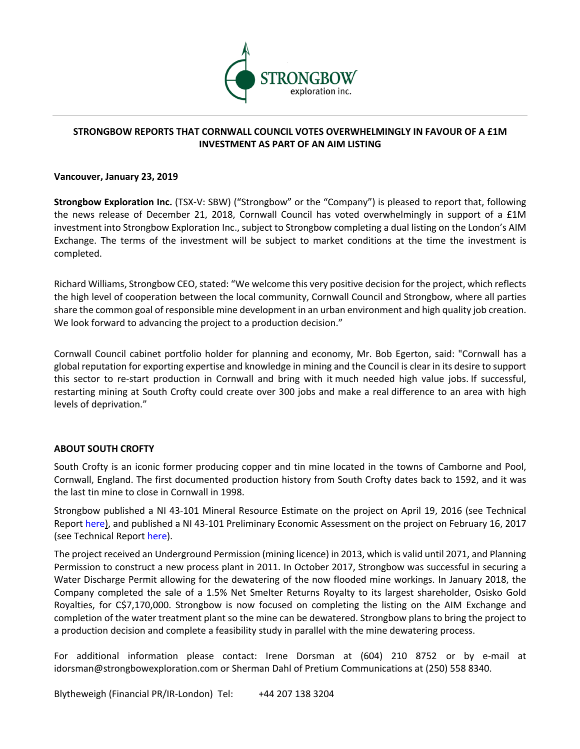

# **STRONGBOW REPORTS THAT CORNWALL COUNCIL VOTES OVERWHELMINGLY IN FAVOUR OF A £1M INVESTMENT AS PART OF AN AIM LISTING**

#### **Vancouver, January 23, 2019**

**Strongbow Exploration Inc.** (TSX-V: SBW) ("Strongbow" or the "Company") is pleased to report that, following the news release of December 21, 2018, Cornwall Council has voted overwhelmingly in support of a £1M investment into Strongbow Exploration Inc., subject to Strongbow completing a dual listing on the London's AIM Exchange. The terms of the investment will be subject to market conditions at the time the investment is completed.

Richard Williams, Strongbow CEO, stated: "We welcome this very positive decision for the project, which reflects the high level of cooperation between the local community, Cornwall Council and Strongbow, where all parties share the common goal of responsible mine development in an urban environment and high quality job creation. We look forward to advancing the project to a production decision."

Cornwall Council cabinet portfolio holder for planning and economy, Mr. Bob Egerton, said: "Cornwall has a global reputation for exporting expertise and knowledge in mining and the Council is clear in its desire to support this sector to re-start production in Cornwall and bring with it much needed high value jobs. If successful, restarting mining at South Crofty could create over 300 jobs and make a real difference to an area with high levels of deprivation."

## **ABOUT SOUTH CROFTY**

South Crofty is an iconic former producing copper and tin mine located in the towns of Camborne and Pool, Cornwall, England. The first documented production history from South Crofty dates back to 1592, and it was the last tin mine to close in Cornwall in 1998.

Strongbow published a NI 43-101 Mineral Resource Estimate on the project on April 19, 2016 (see Technical Report here), and published a NI 43-101 Preliminary Economic Assessment on the project on February 16, 2017 (see Technical Report here).

The project received an Underground Permission (mining licence) in 2013, which is valid until 2071, and Planning Permission to construct a new process plant in 2011. In October 2017, Strongbow was successful in securing a Water Discharge Permit allowing for the dewatering of the now flooded mine workings. In January 2018, the Company completed the sale of a 1.5% Net Smelter Returns Royalty to its largest shareholder, Osisko Gold Royalties, for C\$7,170,000. Strongbow is now focused on completing the listing on the AIM Exchange and completion of the water treatment plant so the mine can be dewatered. Strongbow plans to bring the project to a production decision and complete a feasibility study in parallel with the mine dewatering process.

For additional information please contact: Irene Dorsman at (604) 210 8752 or by e-mail at idorsman@strongbowexploration.com or Sherman Dahl of Pretium Communications at (250) 558 8340.

Blytheweigh (Financial PR/IR-London) Tel: +44 207 138 3204